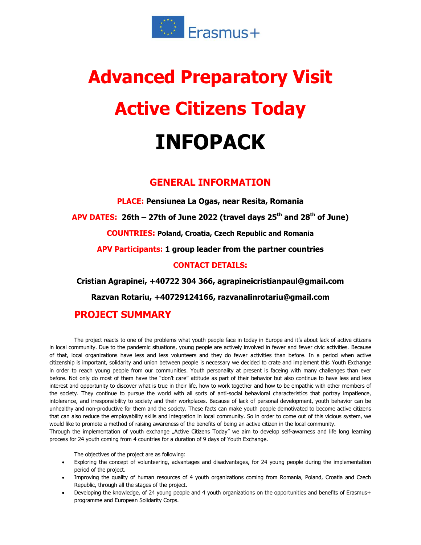

# **Advanced Preparatory Visit Active Citizens Today INFOPACK**

## **GENERAL INFORMATION**

**PLACE: Pensiunea La Ogas, near Resita, Romania**

**APV DATES: 26th – 27th of June 2022 (travel days 25 th and 28 th of June)**

**COUNTRIES: Poland, Croatia, Czech Republic and Romania**

**APV Participants: 1 group leader from the partner countries**

#### **CONTACT DETAILS:**

**Cristian Agrapinei, +40722 304 366, agrapineicristianpaul@gmail.com**

**Razvan Rotariu, +40729124166, razvanalinrotariu@gmail.com**

## **PROJECT SUMMARY**

The project reacts to one of the problems what youth people face in today in Europe and it's about lack of active citizens in local community. Due to the pandemic situations, young people are actively involved in fewer and fewer civic activities. Because of that, local organizations have less and less volunteers and they do fewer activities than before. In a period when active citizenship is important, solidarity and union between people is necessary we decided to crate and implement this Youth Exchange in order to reach young people from our communities. Youth personality at present is faceing with many challenges than ever before. Not only do most of them have the "don't care" attitude as part of their behavior but also continue to have less and less interest and opportunity to discover what is true in their life, how to work together and how to be empathic with other members of the society. They continue to pursue the world with all sorts of anti-social behavioral characteristics that portray impatience, intolerance, and irresponsibility to society and their workplaces. Because of lack of personal development, youth behavior can be unhealthy and non-productive for them and the society. These facts can make youth people demotivated to become active citizens that can also reduce the employability skills and integration in local community. So in order to come out of this vicious system, we would like to promote a method of raising awareness of the benefits of being an active citizen in the local community.

Through the implementation of youth exchange "Active Citizens Today" we aim to develop self-awarness and life long learning process for 24 youth coming from 4 countries for a duration of 9 days of Youth Exchange.

The objectives of the project are as following:

- Exploring the concept of volunteering, advantages and disadvantages, for 24 young people during the implementation period of the project.
- Improving the quality of human resources of 4 youth organizations coming from Romania, Poland, Croatia and Czech Republic, through all the stages of the project.
- Developing the knowledge, of 24 young people and 4 youth organizations on the opportunities and benefits of Erasmus+ programme and European Solidarity Corps.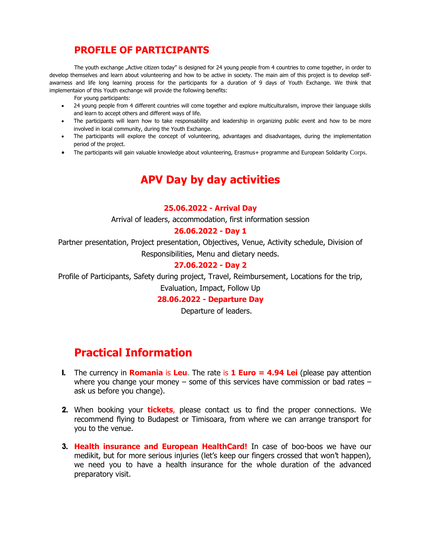## **PROFILE OF PARTICIPANTS**

The youth exchange "Active citizen today" is designed for 24 young people from 4 countries to come together, in order to develop themselves and learn about volunteering and how to be active in society. The main aim of this project is to develop selfawarness and life long learning process for the participants for a duration of 9 days of Youth Exchange. We think that implementaion of this Youth exchange will provide the following benefits:

For young participants:

- 24 young people from 4 different countries will come together and explore multiculturalism, improve their language skills and learn to accept others and different ways of life.
- The participants will learn how to take responsability and leadership in organizing public event and how to be more involved in local community, during the Youth Exchange.
- The participants will explore the concept of volunteering, advantages and disadvantages, during the implementation period of the project.
- The participants will gain valuable knowledge about volunteering, Erasmus+ programme and European Solidarity Corps.

# **APV Day by day activities**

#### **25.06.2022 - Arrival Day**

Arrival of leaders, accommodation, first information session

#### **26.06.2022 - Day 1**

Partner presentation, Project presentation, Objectives, Venue, Activity schedule, Division of Responsibilities, Menu and dietary needs.

#### **27.06.2022 - Day 2**

Profile of Participants, Safety during project, Travel, Reimbursement, Locations for the trip, Evaluation, Impact, Follow Up

#### **28.06.2022 - Departure Day**

Departure of leaders.

## **Practical Information**

- 1. The currency in **Romania** is **Leu**. The rate is **1 Euro = 4.94 Lei** (please pay attention where you change your money – some of this services have commission or bad rates – ask us before you change).
- 2. When booking your **tickets**, please contact us to find the proper connections. We recommend flying to Budapest or Timisoara, from where we can arrange transport for you to the venue.
- 3. **Health insurance and European HealthCard!** In case of boo-boos we have our medikit, but for more serious injuries (let's keep our fingers crossed that won't happen), we need you to have a health insurance for the whole duration of the advanced preparatory visit.